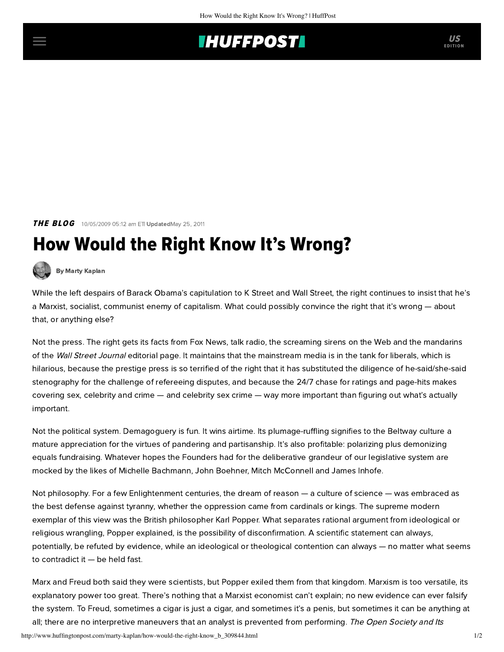## **INUFFPOSTI** US

**THE BLOG** 10/05/2009 05:12 am ETI UpdatedMay 25, 2011

## How Would the Right Know It's Wrong?



[By Marty Kaplan](http://www.huffingtonpost.com/author/marty-kaplan)

While the left despairs of Barack Obama's capitulation to K Street and Wall Street, the right continues to insist that he's a Marxist, socialist, communist enemy of capitalism. What could possibly convince the right that it's wrong — about that, or anything else?

Not the press. The right gets its facts from Fox News, talk radio, the screaming sirens on the Web and the mandarins of the Wall Street Journal editorial page. It maintains that the mainstream media is in the tank for liberals, which is hilarious, because the prestige press is so terrified of the right that it has substituted the diligence of he-said/she-said stenography for the challenge of refereeing disputes, and because the 24/7 chase for ratings and page-hits makes covering sex, celebrity and crime — and celebrity sex crime — way more important than figuring out what's actually important.

Not the political system. Demagoguery is fun. It wins airtime. Its plumage-ruffling signifies to the Beltway culture a mature appreciation for the virtues of pandering and partisanship. It's also profitable: polarizing plus demonizing equals fundraising. Whatever hopes the Founders had for the deliberative grandeur of our legislative system are mocked by the likes of Michelle Bachmann, John Boehner, Mitch McConnell and James Inhofe.

Not philosophy. For a few Enlightenment centuries, the dream of reason — a culture of science — was embraced as the best defense against tyranny, whether the oppression came from cardinals or kings. The supreme modern exemplar of this view was the British philosopher Karl Popper. What separates rational argument from ideological or religious wrangling, Popper explained, is the possibility of disconfirmation. A scientific statement can always, potentially, be refuted by evidence, while an ideological or theological contention can always — no matter what seems to contradict it — be held fast.

Marx and Freud both said they were scientists, but Popper exiled them from that kingdom. Marxism is too versatile, its explanatory power too great. There's nothing that a Marxist economist can't explain; no new evidence can ever falsify the system. To Freud, sometimes a cigar is just a cigar, and sometimes it's a penis, but sometimes it can be anything at all; there are no interpretive maneuvers that an analyst is prevented from performing. The Open Society and Its